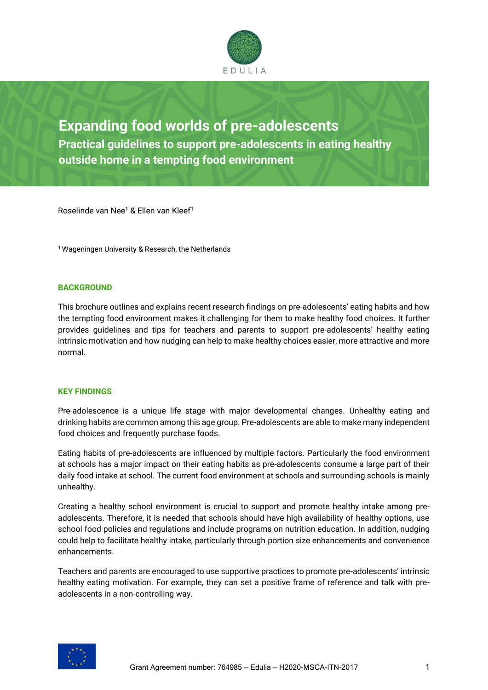

# **Expanding food worlds of pre-adolescents Practical guidelines to support pre-adolescents in eating healthy outside home in a tempting food environment**

Roselinde van Nee<sup>1</sup> & Ellen van Kleef<sup>1</sup>

<sup>1</sup> Wageningen University & Research, the Netherlands

## **BACKGROUND**

This brochure outlines and explains recent research findings on pre-adolescents' eating habits and how the tempting food environment makes it challenging for them to make healthy food choices. It further provides guidelines and tips for teachers and parents to support pre-adolescents' healthy eating intrinsic motivation and how nudging can help to make healthy choices easier, more attractive and more normal.

## **KEY FINDINGS**

Pre-adolescence is a unique life stage with major developmental changes. Unhealthy eating and drinking habits are common among this age group. Pre-adolescents are able to make many independent food choices and frequently purchase foods.

Eating habits of pre-adolescents are influenced by multiple factors. Particularly the food environment at schools has a major impact on their eating habits as pre-adolescents consume a large part of their daily food intake at school. The current food environment at schools and surrounding schools is mainly unhealthy.

Creating a healthy school environment is crucial to support and promote healthy intake among preadolescents. Therefore, it is needed that schools should have high availability of healthy options, use school food policies and regulations and include programs on nutrition education. In addition, nudging could help to facilitate healthy intake, particularly through portion size enhancements and convenience enhancements.

Teachers and parents are encouraged to use supportive practices to promote pre-adolescents' intrinsic healthy eating motivation. For example, they can set a positive frame of reference and talk with preadolescents in a non-controlling way.